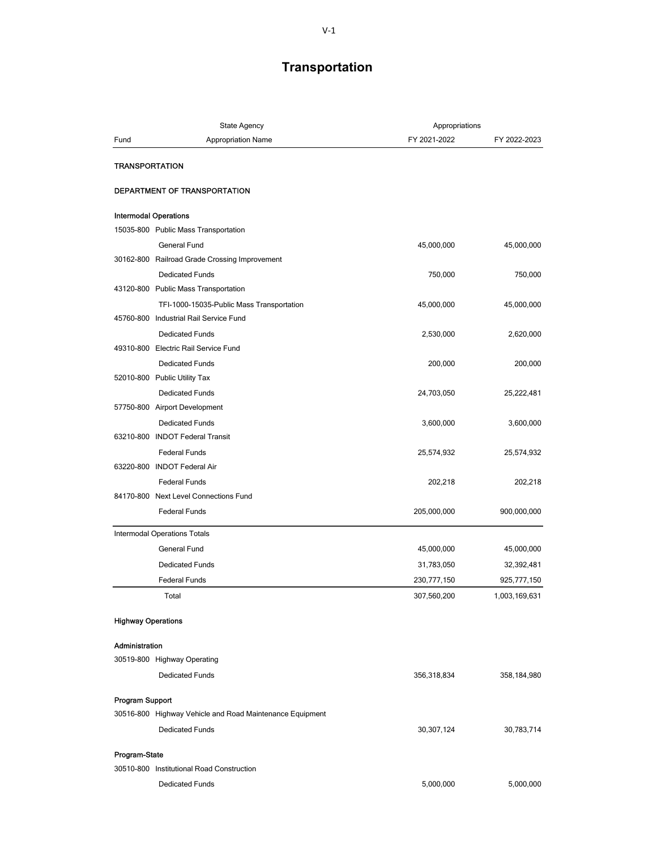## Transportation

| Fund                                                     | <b>Appropriation Name</b>                 | FY 2021-2022 | FY 2022-2023  |
|----------------------------------------------------------|-------------------------------------------|--------------|---------------|
|                                                          |                                           |              |               |
|                                                          |                                           |              |               |
| <b>TRANSPORTATION</b>                                    |                                           |              |               |
| DEPARTMENT OF TRANSPORTATION                             |                                           |              |               |
| <b>Intermodal Operations</b>                             |                                           |              |               |
| 15035-800 Public Mass Transportation                     |                                           |              |               |
| <b>General Fund</b>                                      |                                           | 45,000,000   | 45,000,000    |
| 30162-800 Railroad Grade Crossing Improvement            |                                           |              |               |
| <b>Dedicated Funds</b>                                   |                                           | 750,000      | 750,000       |
| 43120-800 Public Mass Transportation                     |                                           |              |               |
|                                                          | TFI-1000-15035-Public Mass Transportation | 45,000,000   | 45,000,000    |
| 45760-800 Industrial Rail Service Fund                   |                                           |              |               |
| <b>Dedicated Funds</b>                                   |                                           | 2,530,000    | 2,620,000     |
| 49310-800 Electric Rail Service Fund                     |                                           |              |               |
| <b>Dedicated Funds</b>                                   |                                           | 200,000      | 200,000       |
| 52010-800 Public Utility Tax                             |                                           |              |               |
| <b>Dedicated Funds</b>                                   |                                           | 24,703,050   | 25,222,481    |
| 57750-800 Airport Development                            |                                           |              |               |
| <b>Dedicated Funds</b>                                   |                                           | 3,600,000    | 3,600,000     |
| 63210-800 INDOT Federal Transit                          |                                           |              |               |
| <b>Federal Funds</b>                                     |                                           | 25,574,932   | 25,574,932    |
| 63220-800 INDOT Federal Air                              |                                           |              |               |
| <b>Federal Funds</b>                                     |                                           | 202,218      | 202,218       |
| 84170-800 Next Level Connections Fund                    |                                           |              |               |
| <b>Federal Funds</b>                                     |                                           | 205,000,000  | 900,000,000   |
| Intermodal Operations Totals                             |                                           |              |               |
| General Fund                                             |                                           | 45,000,000   | 45,000,000    |
| <b>Dedicated Funds</b>                                   |                                           | 31,783,050   | 32,392,481    |
| <b>Federal Funds</b>                                     |                                           | 230,777,150  | 925,777,150   |
| Total                                                    |                                           | 307,560,200  | 1,003,169,631 |
| <b>Highway Operations</b>                                |                                           |              |               |
| Administration                                           |                                           |              |               |
| 30519-800 Highway Operating                              |                                           |              |               |
| <b>Dedicated Funds</b>                                   |                                           | 356,318,834  | 358,184,980   |
| <b>Program Support</b>                                   |                                           |              |               |
| 30516-800 Highway Vehicle and Road Maintenance Equipment |                                           |              |               |
| <b>Dedicated Funds</b>                                   |                                           | 30,307,124   | 30,783,714    |
| Program-State                                            |                                           |              |               |
| 30510-800 Institutional Road Construction                |                                           |              |               |
| <b>Dedicated Funds</b>                                   |                                           | 5,000,000    | 5,000,000     |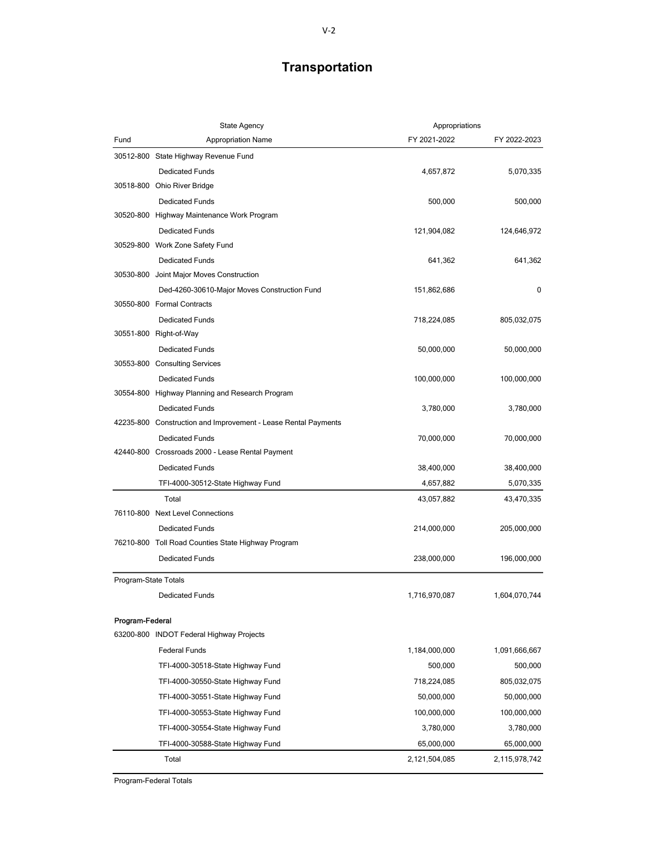## Transportation

|                      | <b>State Agency</b>                                            |               | Appropriations |  |
|----------------------|----------------------------------------------------------------|---------------|----------------|--|
| Fund                 | Appropriation Name                                             | FY 2021-2022  | FY 2022-2023   |  |
|                      | 30512-800 State Highway Revenue Fund                           |               |                |  |
|                      | <b>Dedicated Funds</b>                                         | 4,657,872     | 5,070,335      |  |
|                      | 30518-800 Ohio River Bridge                                    |               |                |  |
|                      | <b>Dedicated Funds</b>                                         | 500,000       | 500,000        |  |
|                      | 30520-800 Highway Maintenance Work Program                     |               |                |  |
|                      | <b>Dedicated Funds</b>                                         | 121,904,082   | 124,646,972    |  |
|                      | 30529-800 Work Zone Safety Fund                                |               |                |  |
|                      | <b>Dedicated Funds</b>                                         | 641,362       | 641,362        |  |
|                      | 30530-800 Joint Major Moves Construction                       |               |                |  |
|                      | Ded-4260-30610-Major Moves Construction Fund                   | 151,862,686   | 0              |  |
|                      | 30550-800 Formal Contracts                                     |               |                |  |
|                      | <b>Dedicated Funds</b>                                         | 718,224,085   | 805,032,075    |  |
|                      | 30551-800 Right-of-Way                                         |               |                |  |
|                      | <b>Dedicated Funds</b>                                         | 50,000,000    | 50,000,000     |  |
|                      | 30553-800 Consulting Services                                  |               |                |  |
|                      | <b>Dedicated Funds</b>                                         | 100,000,000   | 100,000,000    |  |
|                      | 30554-800 Highway Planning and Research Program                |               |                |  |
|                      | <b>Dedicated Funds</b>                                         | 3,780,000     | 3,780,000      |  |
|                      | 42235-800 Construction and Improvement - Lease Rental Payments |               |                |  |
|                      | <b>Dedicated Funds</b>                                         | 70,000,000    | 70,000,000     |  |
|                      | 42440-800 Crossroads 2000 - Lease Rental Payment               |               |                |  |
|                      | <b>Dedicated Funds</b>                                         | 38,400,000    | 38,400,000     |  |
|                      | TFI-4000-30512-State Highway Fund                              | 4,657,882     | 5,070,335      |  |
|                      | Total                                                          | 43,057,882    | 43,470,335     |  |
|                      | 76110-800 Next Level Connections                               |               |                |  |
|                      | <b>Dedicated Funds</b>                                         | 214,000,000   | 205,000,000    |  |
|                      | 76210-800 Toll Road Counties State Highway Program             |               |                |  |
|                      | <b>Dedicated Funds</b>                                         | 238,000,000   | 196,000,000    |  |
| Program-State Totals |                                                                |               |                |  |
|                      | <b>Dedicated Funds</b>                                         | 1,716,970,087 | 1,604,070,744  |  |
|                      |                                                                |               |                |  |
| Program-Federal      |                                                                |               |                |  |
|                      | 63200-800 INDOT Federal Highway Projects                       |               |                |  |
|                      | <b>Federal Funds</b>                                           | 1,184,000,000 | 1,091,666,667  |  |
|                      | TFI-4000-30518-State Highway Fund                              | 500,000       | 500,000        |  |
|                      | TFI-4000-30550-State Highway Fund                              | 718,224,085   | 805,032,075    |  |
|                      | TFI-4000-30551-State Highway Fund                              | 50,000,000    | 50,000,000     |  |
|                      | TFI-4000-30553-State Highway Fund                              | 100,000,000   | 100,000,000    |  |
|                      | TFI-4000-30554-State Highway Fund                              | 3,780,000     | 3,780,000      |  |
|                      | TFI-4000-30588-State Highway Fund                              | 65,000,000    | 65,000,000     |  |
|                      | Total                                                          | 2,121,504,085 | 2,115,978,742  |  |
|                      |                                                                |               |                |  |

Program-Federal Totals